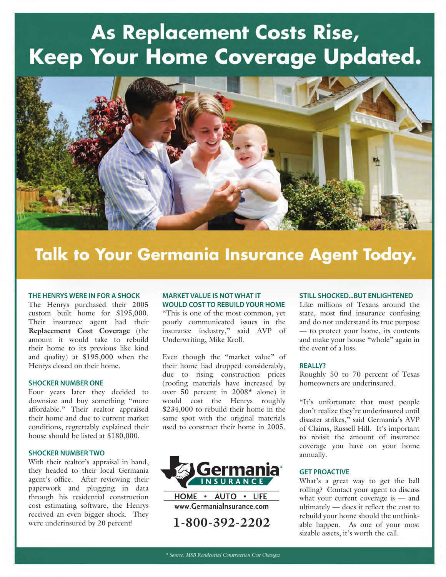# **As Replacement Costs Rise,** Keep Your Home Coverage Updated.



## **Talk to Your Germania Insurance Agent Today.**

#### **THE HENRYS WERE IN FOR A SHOCK**

The Henrys purchased their 2005 custom built home for \$195,000. Their insurance agent had their **Replacement Cost Coverage** (the amount it would take to rebuild their home to its previous like kind and quality) at \$195,000 when the Henrys closed on their home.

#### **SHOCKER NUMBER ONE**

Four years later they decided to downsize and buy something "more affordable." Their realtor appraised their home and due to current market conditions, regrettably explained their house should be listed at \$180,000.

#### **SHOCKER NUMBER TWO**

With their realtor's appraisal in hand, they headed to their local Germania agent's office. After reviewing their paperwork and plugging in data through his residential construction cost estimating software, the Henrys received an even bigger shock. They were underinsured by 20 percent!

### **MARKET VALUE IS NOT WHAT IT WOULD COST TO REBUILD YOUR HOME**

"This is one of the most common, yet poorly communicated issues in the insurance industry," said AVP of Underwriting, Mike Kroll.

Even though the "market value" of their home had dropped considerably, due to rising construction prices (roofing materials have increased by over 50 percent in 2008\* alone) it would cost the Henrys roughly \$234,000 to rebuild their home in the same spot with the original materials used to construct their home in 2005.



www.GermaniaInsurance.com

**1-800-392-2202**

#### **STILL SHOCKED...BUT ENLIGHTENED**

Like millions of Texans around the state, most find insurance confusing and do not understand its true purpose — to protect your home, its contents and make your house "whole" again in the event of a loss.

#### **REALLY?**

Roughly 50 to 70 percent of Texas homeowners are underinsured.

"It's unfortunate that most people don't realize they're underinsured until disaster strikes," said Germania's AVP of Claims, Russell Hill. It's important to revisit the amount of insurance coverage you have on your home annually.

#### **GET PROACTIVE**

What's a great way to get the ball rolling? Contact your agent to discuss what your current coverage is — and ultimately — does it reflect the cost to rebuild your home should the unthinkable happen. As one of your most sizable assets, it's worth the call.